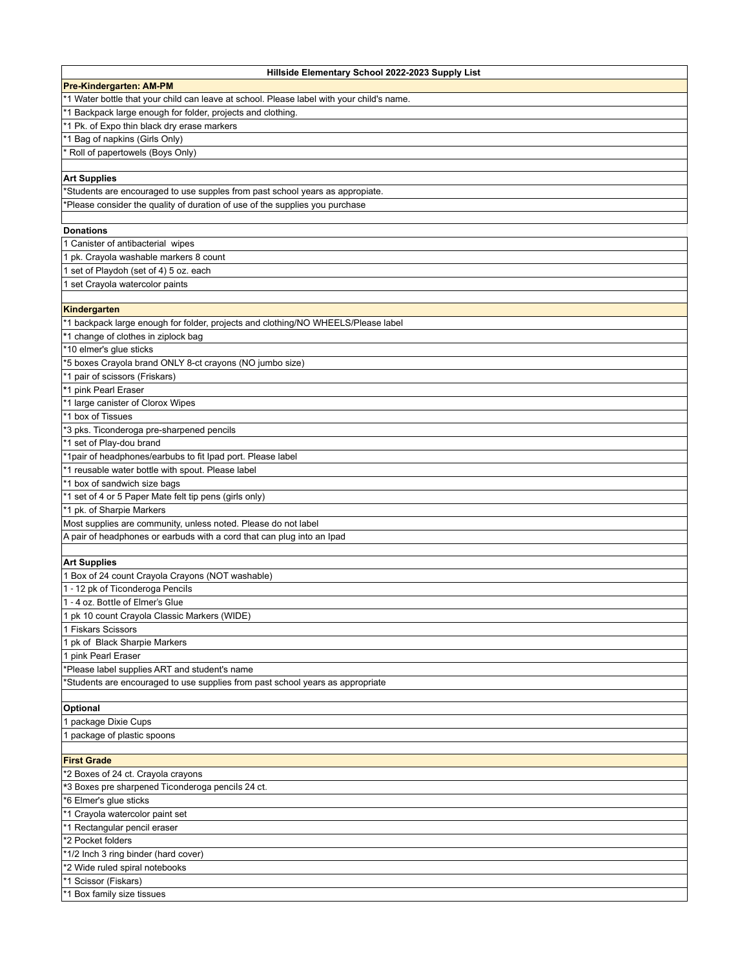| Hillside Elementary School 2022-2023 Supply List                                          |
|-------------------------------------------------------------------------------------------|
| <b>Pre-Kindergarten: AM-PM</b>                                                            |
| *1 Water bottle that your child can leave at school. Please label with your child's name. |
| *1 Backpack large enough for folder, projects and clothing.                               |
| *1 Pk. of Expo thin black dry erase markers                                               |
| *1 Bag of napkins (Girls Only)                                                            |
| * Roll of papertowels (Boys Only)                                                         |
|                                                                                           |
| <b>Art Supplies</b>                                                                       |
| *Students are encouraged to use supples from past school years as appropiate.             |
| *Please consider the quality of duration of use of the supplies you purchase              |
|                                                                                           |
| <b>Donations</b>                                                                          |
| 1 Canister of antibacterial wipes                                                         |
| 1 pk. Crayola washable markers 8 count                                                    |
| 1 set of Playdoh (set of 4) 5 oz. each                                                    |
| 1 set Crayola watercolor paints                                                           |
|                                                                                           |
| Kindergarten                                                                              |
|                                                                                           |
| *1 backpack large enough for folder, projects and clothing/NO WHEELS/Please label         |
| *1 change of clothes in ziplock bag                                                       |
| *10 elmer's glue sticks                                                                   |
| *5 boxes Crayola brand ONLY 8-ct crayons (NO jumbo size)                                  |
| *1 pair of scissors (Friskars)                                                            |
| *1 pink Pearl Eraser                                                                      |
| *1 large canister of Clorox Wipes                                                         |
| *1 box of Tissues                                                                         |
| *3 pks. Ticonderoga pre-sharpened pencils                                                 |
| *1 set of Play-dou brand                                                                  |
| *1pair of headphones/earbubs to fit Ipad port. Please label                               |
| *1 reusable water bottle with spout. Please label                                         |
| $*1$ box of sandwich size bags                                                            |
| *1 set of 4 or 5 Paper Mate felt tip pens (girls only)                                    |
| *1 pk. of Sharpie Markers                                                                 |
| Most supplies are community, unless noted. Please do not label                            |
| A pair of headphones or earbuds with a cord that can plug into an Ipad                    |
|                                                                                           |
| <b>Art Supplies</b>                                                                       |
| 1 Box of 24 count Crayola Crayons (NOT washable)                                          |
| 1 - 12 pk of Ticonderoga Pencils                                                          |
| 1 - 4 oz. Bottle of Elmer's Glue                                                          |
| 1 pk 10 count Crayola Classic Markers (WIDE)                                              |
| 1 Fiskars Scissors                                                                        |
| 1 pk of Black Sharpie Markers                                                             |
|                                                                                           |
| 1 pink Pearl Eraser                                                                       |
| *Please label supplies ART and student's name                                             |
| *Students are encouraged to use supplies from past school years as appropriate            |
|                                                                                           |
| Optional                                                                                  |
| 1 package Dixie Cups                                                                      |
| 1 package of plastic spoons                                                               |
|                                                                                           |
| <b>First Grade</b>                                                                        |
| *2 Boxes of 24 ct. Crayola crayons                                                        |
| *3 Boxes pre sharpened Ticonderoga pencils 24 ct.                                         |
| *6 Elmer's glue sticks                                                                    |
| *1 Crayola watercolor paint set                                                           |
| *1 Rectangular pencil eraser                                                              |
| *2 Pocket folders                                                                         |
| *1/2 Inch 3 ring binder (hard cover)                                                      |
| *2 Wide ruled spiral notebooks                                                            |
| *1 Scissor (Fiskars)                                                                      |
| *1 Box family size tissues                                                                |
|                                                                                           |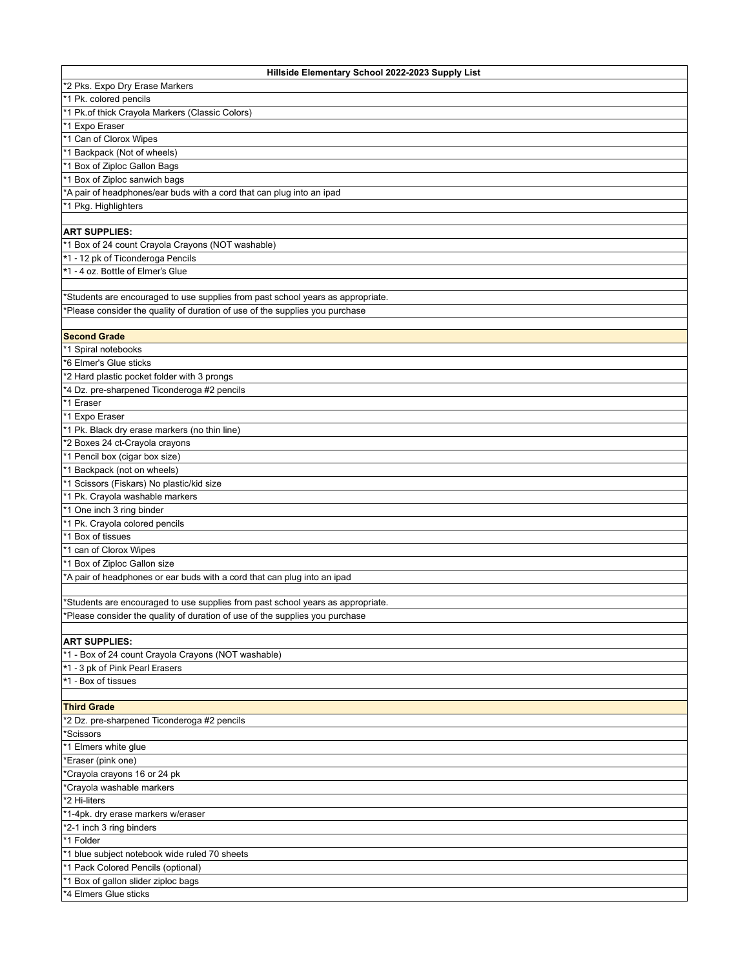| Hillside Elementary School 2022-2023 Supply List                                |
|---------------------------------------------------------------------------------|
| *2 Pks. Expo Dry Erase Markers                                                  |
| *1 Pk. colored pencils                                                          |
| *1 Pk.of thick Crayola Markers (Classic Colors)                                 |
| *1 Expo Eraser                                                                  |
| *1 Can of Clorox Wipes                                                          |
| *1 Backpack (Not of wheels)                                                     |
| *1 Box of Ziploc Gallon Bags                                                    |
| *1 Box of Ziploc sanwich bags                                                   |
| *A pair of headphones/ear buds with a cord that can plug into an ipad           |
| *1 Pkg. Highlighters                                                            |
|                                                                                 |
| <b>ART SUPPLIES:</b>                                                            |
| *1 Box of 24 count Crayola Crayons (NOT washable)                               |
| *1 - 12 pk of Ticonderoga Pencils                                               |
| *1 - 4 oz. Bottle of Elmer's Glue                                               |
|                                                                                 |
| *Students are encouraged to use supplies from past school years as appropriate. |
| *Please consider the quality of duration of use of the supplies you purchase    |
|                                                                                 |
| <b>Second Grade</b>                                                             |
| *1 Spiral notebooks                                                             |
| *6 Elmer's Glue sticks                                                          |
| *2 Hard plastic pocket folder with 3 prongs                                     |
| *4 Dz. pre-sharpened Ticonderoga #2 pencils                                     |
| *1 Eraser                                                                       |
| *1 Expo Eraser                                                                  |
| *1 Pk. Black dry erase markers (no thin line)                                   |
| *2 Boxes 24 ct-Crayola crayons                                                  |
| *1 Pencil box (cigar box size)                                                  |
| *1 Backpack (not on wheels)                                                     |
| *1 Scissors (Fiskars) No plastic/kid size                                       |
| *1 Pk. Crayola washable markers                                                 |
| *1 One inch 3 ring binder                                                       |
| *1 Pk. Crayola colored pencils                                                  |
| *1 Box of tissues                                                               |
| *1 can of Clorox Wipes                                                          |
| *1 Box of Ziploc Gallon size                                                    |
| *A pair of headphones or ear buds with a cord that can plug into an ipad        |
|                                                                                 |
| *Students are encouraged to use supplies from past school years as appropriate. |
| *Please consider the quality of duration of use of the supplies you purchase    |
|                                                                                 |
| <b>ART SUPPLIES:</b>                                                            |
| *1 - Box of 24 count Crayola Crayons (NOT washable)                             |
| *1 - 3 pk of Pink Pearl Erasers                                                 |
| *1 - Box of tissues                                                             |
|                                                                                 |
| <b>Third Grade</b>                                                              |
| *2 Dz. pre-sharpened Ticonderoga #2 pencils                                     |
| *Scissors                                                                       |
| *1 Elmers white glue                                                            |
| *Eraser (pink one)                                                              |
| *Crayola crayons 16 or 24 pk                                                    |
| *Crayola washable markers                                                       |
| *2 Hi-liters                                                                    |
| *1-4pk. dry erase markers w/eraser                                              |
|                                                                                 |
| *2-1 inch 3 ring binders                                                        |
| *1 Folder                                                                       |
| *1 blue subject notebook wide ruled 70 sheets                                   |
| *1 Pack Colored Pencils (optional)                                              |
| *1 Box of gallon slider ziploc bags                                             |
| *4 Elmers Glue sticks                                                           |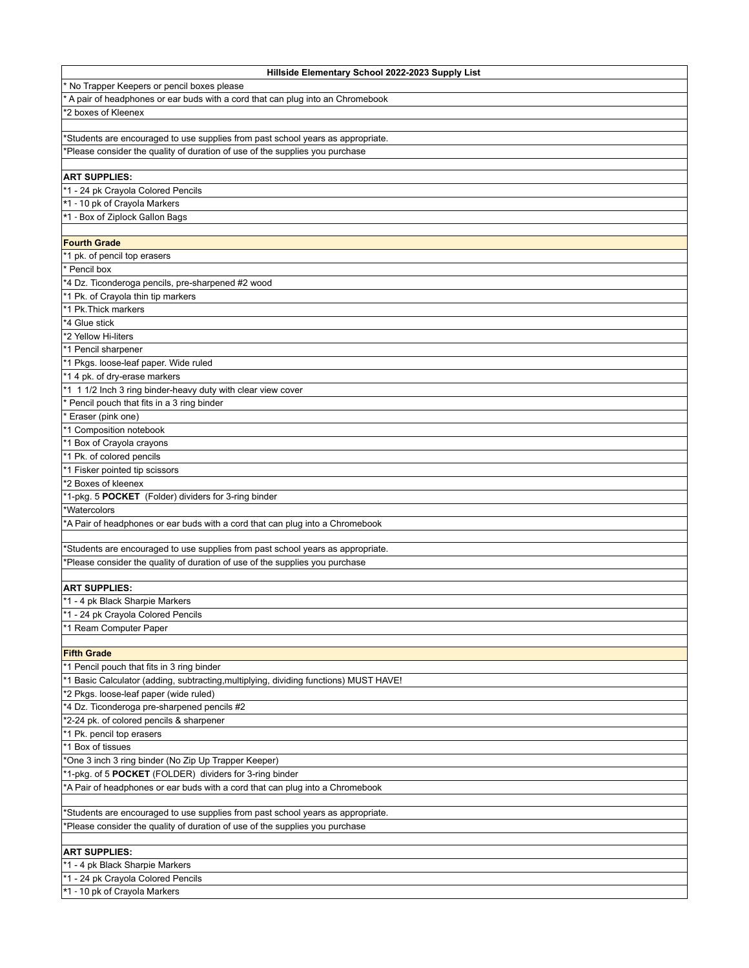| Hillside Elementary School 2022-2023 Supply List                                      |
|---------------------------------------------------------------------------------------|
| No Trapper Keepers or pencil boxes please                                             |
| A pair of headphones or ear buds with a cord that can plug into an Chromebook         |
| 2 boxes of Kleenex                                                                    |
|                                                                                       |
| 'Students are encouraged to use supplies from past school years as appropriate.       |
| *Please consider the quality of duration of use of the supplies you purchase          |
|                                                                                       |
| <b>ART SUPPLIES:</b>                                                                  |
| *1 - 24 pk Crayola Colored Pencils                                                    |
| *1 - 10 pk of Crayola Markers                                                         |
| *1 - Box of Ziplock Gallon Bags                                                       |
|                                                                                       |
| <b>Fourth Grade</b>                                                                   |
| *1 pk. of pencil top erasers                                                          |
| Pencil box                                                                            |
| *4 Dz. Ticonderoga pencils, pre-sharpened #2 wood                                     |
| *1 Pk. of Crayola thin tip markers                                                    |
| *1 Pk. Thick markers                                                                  |
| *4 Glue stick                                                                         |
| *2 Yellow Hi-liters                                                                   |
| *1 Pencil sharpener                                                                   |
| *1 Pkgs. loose-leaf paper. Wide ruled                                                 |
| *1 4 pk. of dry-erase markers                                                         |
| *1 1 1/2 Inch 3 ring binder-heavy duty with clear view cover                          |
| Pencil pouch that fits in a 3 ring binder                                             |
| Eraser (pink one)                                                                     |
| *1 Composition notebook                                                               |
| *1 Box of Crayola crayons                                                             |
| *1 Pk. of colored pencils                                                             |
| *1 Fisker pointed tip scissors                                                        |
| *2 Boxes of kleenex                                                                   |
| *1-pkg. 5 POCKET (Folder) dividers for 3-ring binder                                  |
| *Watercolors                                                                          |
| *A Pair of headphones or ear buds with a cord that can plug into a Chromebook         |
|                                                                                       |
| *Students are encouraged to use supplies from past school years as appropriate.       |
| *Please consider the quality of duration of use of the supplies you purchase          |
| <b>ART SUPPLIES:</b>                                                                  |
| *1 - 4 pk Black Sharpie Markers                                                       |
| *1 - 24 pk Crayola Colored Pencils                                                    |
| *1 Ream Computer Paper                                                                |
|                                                                                       |
| <b>Fifth Grade</b>                                                                    |
| *1 Pencil pouch that fits in 3 ring binder                                            |
| *1 Basic Calculator (adding, subtracting, multiplying, dividing functions) MUST HAVE! |
| *2 Pkgs. loose-leaf paper (wide ruled)                                                |
| *4 Dz. Ticonderoga pre-sharpened pencils #2                                           |
| *2-24 pk. of colored pencils & sharpener                                              |
| *1 Pk. pencil top erasers                                                             |
| *1 Box of tissues                                                                     |
| 'One 3 inch 3 ring binder (No Zip Up Trapper Keeper)                                  |
| *1-pkg. of 5 POCKET (FOLDER) dividers for 3-ring binder                               |
| *A Pair of headphones or ear buds with a cord that can plug into a Chromebook         |
|                                                                                       |
| 'Students are encouraged to use supplies from past school years as appropriate.       |
| *Please consider the quality of duration of use of the supplies you purchase          |
|                                                                                       |
| <b>ART SUPPLIES:</b>                                                                  |
| *1 - 4 pk Black Sharpie Markers                                                       |
| *1 - 24 pk Crayola Colored Pencils                                                    |
| *1 - 10 pk of Crayola Markers                                                         |